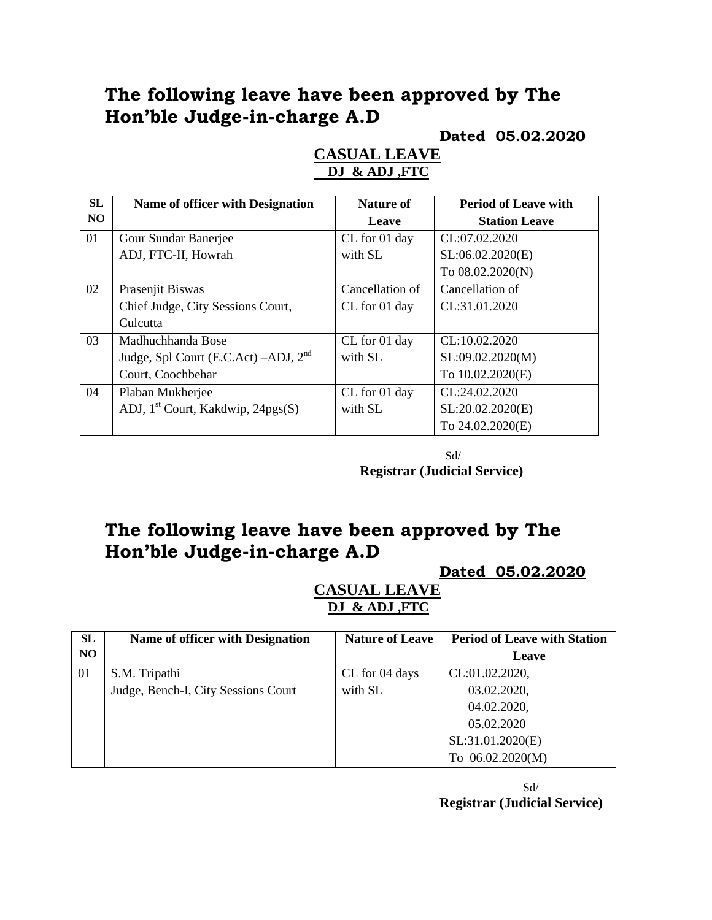## **The following leave have been approved by The Hon'ble Judge-in-charge A.D**

#### **Dated 05.02.2020**

| <b>SL</b>      | Name of officer with Designation              | Nature of       | <b>Period of Leave with</b> |
|----------------|-----------------------------------------------|-----------------|-----------------------------|
| N <sub>O</sub> |                                               | Leave           | <b>Station Leave</b>        |
| 01             | Gour Sundar Banerjee                          | CL for 01 day   | CL:07.02.2020               |
|                | ADJ, FTC-II, Howrah                           | with SL         | SL:06.02.2020(E)            |
|                |                                               |                 | To 08.02.2020(N)            |
| 02             | Prasenjit Biswas                              | Cancellation of | Cancellation of             |
|                | Chief Judge, City Sessions Court,             | CL for 01 day   | CL:31.01.2020               |
|                | Culcutta                                      |                 |                             |
| 03             | Madhuchhanda Bose                             | CL for 01 day   | CL:10.02.2020               |
|                | Judge, Spl Court (E.C.Act) $-ADJ$ , $2nd$     | with SL         | SL:09.02.2020(M)            |
|                | Court, Coochbehar                             |                 | To 10.02.2020(E)            |
| 04             | Plaban Mukherjee                              | CL for 01 day   | CL:24.02.2020               |
|                | ADJ, 1 <sup>st</sup> Court, Kakdwip, 24pgs(S) | with SL         | SL:20.02.2020(E)            |
|                |                                               |                 | To 24.02.2020(E)            |

#### **CASUAL LEAVE DJ & ADJ ,FTC**

 Sd/ **Registrar (Judicial Service)**

# **The following leave have been approved by The Hon'ble Judge-in-charge A.D**

**Dated 05.02.2020**

**CASUAL LEAVE DJ & ADJ ,FTC**

| SL  | <b>Name of officer with Designation</b> | <b>Nature of Leave</b> | <b>Period of Leave with Station</b> |
|-----|-----------------------------------------|------------------------|-------------------------------------|
| NO. |                                         |                        | Leave                               |
| 01  | S.M. Tripathi                           | CL for 04 days         | CL:01.02.2020,                      |
|     | Judge, Bench-I, City Sessions Court     | with SL                | 03.02.2020,                         |
|     |                                         |                        | 04.02.2020,                         |
|     |                                         |                        | 05.02.2020                          |
|     |                                         |                        | SL:31.01.2020(E)                    |
|     |                                         |                        | To 06.02.2020(M)                    |

Sd/ **Registrar (Judicial Service)**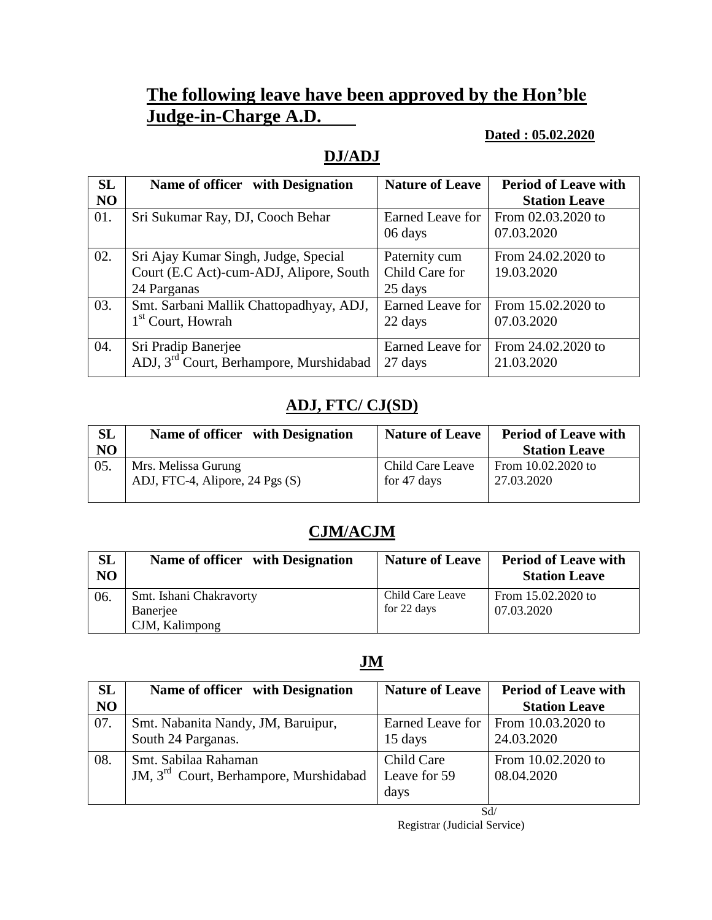# **The following leave have been approved by the Hon'ble Judge-in-Charge A.D.**

#### **Dated : 05.02.2020**

## **DJ/ADJ**

| <b>SL</b> | Name of officer with Designation                    | <b>Nature of Leave</b> | <b>Period of Leave with</b> |
|-----------|-----------------------------------------------------|------------------------|-----------------------------|
| NO        |                                                     |                        | <b>Station Leave</b>        |
| 01.       | Sri Sukumar Ray, DJ, Cooch Behar                    | Earned Leave for       | From 02.03.2020 to          |
|           |                                                     | 06 days                | 07.03.2020                  |
| 02.       | Sri Ajay Kumar Singh, Judge, Special                | Paternity cum          | From 24.02.2020 to          |
|           | Court (E.C Act)-cum-ADJ, Alipore, South             | Child Care for         | 19.03.2020                  |
|           | 24 Parganas                                         | 25 days                |                             |
| 03.       | Smt. Sarbani Mallik Chattopadhyay, ADJ,             | Earned Leave for       | From 15.02.2020 to          |
|           | 1 <sup>st</sup> Court, Howrah                       | 22 days                | 07.03.2020                  |
| 04.       | Sri Pradip Banerjee                                 | Earned Leave for       | From 24.02.2020 to          |
|           | ADJ, 3 <sup>rd</sup> Court, Berhampore, Murshidabad | 27 days                | 21.03.2020                  |

## **ADJ, FTC/ CJ(SD)**

| <b>SL</b> | Name of officer with Designation | <b>Nature of Leave</b> | <b>Period of Leave with</b> |
|-----------|----------------------------------|------------------------|-----------------------------|
| NO        |                                  |                        | <b>Station Leave</b>        |
| 05.       | Mrs. Melissa Gurung              | Child Care Leave       | From 10.02.2020 to          |
|           | ADJ, FTC-4, Alipore, 24 Pgs (S)  | for 47 days            | 27.03.2020                  |
|           |                                  |                        |                             |

## **CJM/ACJM**

| SL<br>N <sub>O</sub> | Name of officer with Designation                      | <b>Nature of Leave</b>          | <b>Period of Leave with</b><br><b>Station Leave</b> |
|----------------------|-------------------------------------------------------|---------------------------------|-----------------------------------------------------|
| 06.                  | Smt. Ishani Chakravorty<br>Banerjee<br>CJM, Kalimpong | Child Care Leave<br>for 22 days | From 15.02.2020 to<br>07.03.2020                    |

## **JM**

| <b>SL</b> | Name of officer with Designation                                           | <b>Nature of Leave</b>             | <b>Period of Leave with</b>      |
|-----------|----------------------------------------------------------------------------|------------------------------------|----------------------------------|
| NO        |                                                                            |                                    | <b>Station Leave</b>             |
| 07.       | Smt. Nabanita Nandy, JM, Baruipur,<br>South 24 Parganas.                   | Earned Leave for<br>15 days        | From 10.03.2020 to<br>24.03.2020 |
| 08.       | Smt. Sabilaa Rahaman<br>JM, 3 <sup>rd</sup> Court, Berhampore, Murshidabad | Child Care<br>Leave for 59<br>days | From 10.02.2020 to<br>08.04.2020 |

Sd/ Registrar (Judicial Service)